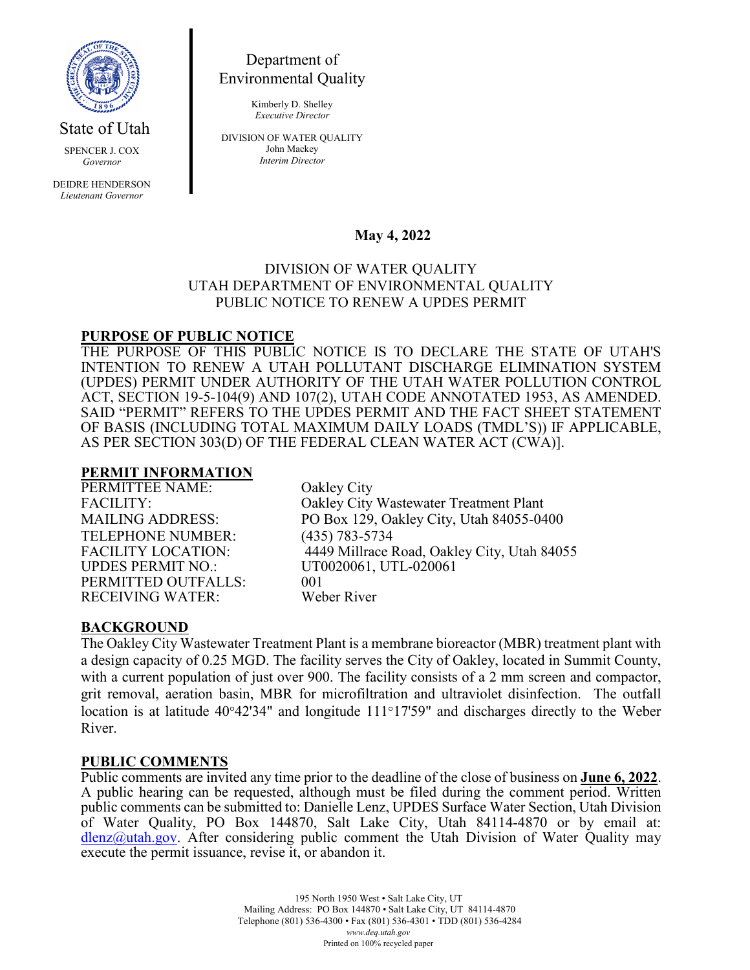

State of Utah

SPENCER J. COX *Governor*

DEIDRE HENDERSON *Lieutenant Governor*

Department of Environmental Quality

> Kimberly D. Shelley *Executive Director*

DIVISION OF WATER QUALITY John Mackey *Interim Director*

# **May 4, 2022**

## DIVISION OF WATER QUALITY UTAH DEPARTMENT OF ENVIRONMENTAL QUALITY PUBLIC NOTICE TO RENEW A UPDES PERMIT

## **PURPOSE OF PUBLIC NOTICE**

THE PURPOSE OF THIS PUBLIC NOTICE IS TO DECLARE THE STATE OF UTAH'S INTENTION TO RENEW A UTAH POLLUTANT DISCHARGE ELIMINATION SYSTEM (UPDES) PERMIT UNDER AUTHORITY OF THE UTAH WATER POLLUTION CONTROL ACT, SECTION 19-5-104(9) AND 107(2), UTAH CODE ANNOTATED 1953, AS AMENDED. SAID "PERMIT" REFERS TO THE UPDES PERMIT AND THE FACT SHEET STATEMENT OF BASIS (INCLUDING TOTAL MAXIMUM DAILY LOADS (TMDL'S)) IF APPLICABLE, AS PER SECTION 303(D) OF THE FEDERAL CLEAN WATER ACT (CWA)].

#### **PERMIT INFORMATION**

PERMITTEE NAME: Oakley City TELEPHONE NUMBER: (435) 783-5734 PERMITTED OUTFALLS: 001<br>RECEIVING WATER: Weber River RECEIVING WATER:

FACILITY: Oakley City Wastewater Treatment Plant MAILING ADDRESS: PO Box 129, Oakley City, Utah 84055-0400 FACILITY LOCATION: 4449 Millrace Road, Oakley City, Utah 84055<br>UPDES PERMIT NO.: UT0020061, UTL-020061 UT0020061, UTL-020061

# **BACKGROUND**

The Oakley City Wastewater Treatment Plant is a membrane bioreactor (MBR) treatment plant with a design capacity of 0.25 MGD. The facility serves the City of Oakley, located in Summit County, with a current population of just over 900. The facility consists of a 2 mm screen and compactor, grit removal, aeration basin, MBR for microfiltration and ultraviolet disinfection. The outfall location is at latitude 40°42'34" and longitude 111°17'59" and discharges directly to the Weber River.

## **PUBLIC COMMENTS**

Public comments are invited any time prior to the deadline of the close of business on **June 6, 2022**. A public hearing can be requested, although must be filed during the comment period. Written public comments can be submitted to: Danielle Lenz, UPDES Surface Water Section, Utah Division of Water Quality, PO Box 144870, Salt Lake City, Utah 84114-4870 or by email at: [dlenz@utah.gov.](mailto:dlenz@utah.gov) After considering public comment the Utah Division of Water Quality may execute the permit issuance, revise it, or abandon it.